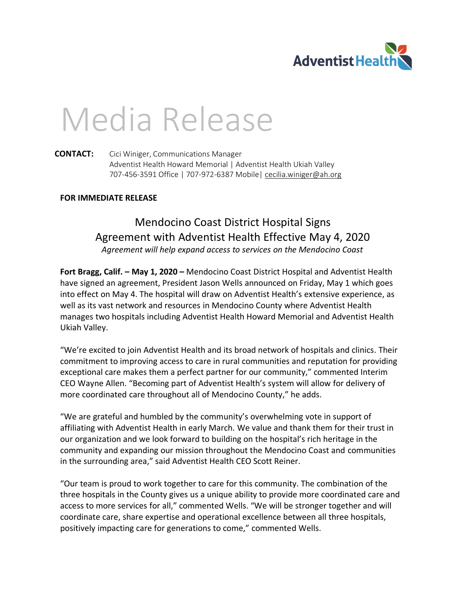

# Media Release

**CONTACT:** Cici Winiger, Communications Manager Adventist Health Howard Memorial | Adventist Health Ukiah Valley 707-456-3591 Office | 707-972-6387 Mobile[| cecilia.winiger@ah.org](mailto:cecilia.winiger@ah.org)

#### **FOR IMMEDIATE RELEASE**

## Mendocino Coast District Hospital Signs Agreement with Adventist Health Effective May 4, 2020 *Agreement will help expand access to services on the Mendocino Coast*

**Fort Bragg, Calif. – May 1, 2020 –** Mendocino Coast District Hospital and Adventist Health have signed an agreement, President Jason Wells announced on Friday, May 1 which goes into effect on May 4. The hospital will draw on Adventist Health's extensive experience, as well as its vast network and resources in Mendocino County where Adventist Health manages two hospitals including Adventist Health Howard Memorial and Adventist Health Ukiah Valley.

"We're excited to join Adventist Health and its broad network of hospitals and clinics. Their commitment to improving access to care in rural communities and reputation for providing exceptional care makes them a perfect partner for our community," commented Interim CEO Wayne Allen. "Becoming part of Adventist Health's system will allow for delivery of more coordinated care throughout all of Mendocino County," he adds.

"We are grateful and humbled by the community's overwhelming vote in support of affiliating with Adventist Health in early March. We value and thank them for their trust in our organization and we look forward to building on the hospital's rich heritage in the community and expanding our mission throughout the Mendocino Coast and communities in the surrounding area," said Adventist Health CEO Scott Reiner.

"Our team is proud to work together to care for this community. The combination of the three hospitals in the County gives us a unique ability to provide more coordinated care and access to more services for all," commented Wells. "We will be stronger together and will coordinate care, share expertise and operational excellence between all three hospitals, positively impacting care for generations to come," commented Wells.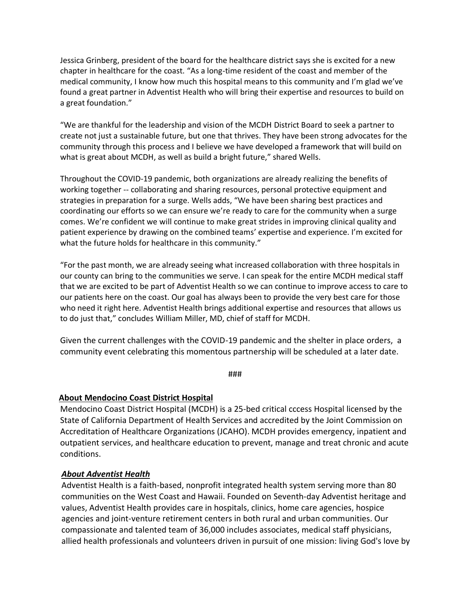Jessica Grinberg, president of the board for the healthcare district says she is excited for a new chapter in healthcare for the coast. "As a long-time resident of the coast and member of the medical community, I know how much this hospital means to this community and I'm glad we've found a great partner in Adventist Health who will bring their expertise and resources to build on a great foundation."

"We are thankful for the leadership and vision of the MCDH District Board to seek a partner to create not just a sustainable future, but one that thrives. They have been strong advocates for the community through this process and I believe we have developed a framework that will build on what is great about MCDH, as well as build a bright future," shared Wells.

Throughout the COVID-19 pandemic, both organizations are already realizing the benefits of working together -- collaborating and sharing resources, personal protective equipment and strategies in preparation for a surge. Wells adds, "We have been sharing best practices and coordinating our efforts so we can ensure we're ready to care for the community when a surge comes. We're confident we will continue to make great strides in improving clinical quality and patient experience by drawing on the combined teams' expertise and experience. I'm excited for what the future holds for healthcare in this community."

"For the past month, we are already seeing what increased collaboration with three hospitals in our county can bring to the communities we serve. I can speak for the entire MCDH medical staff that we are excited to be part of Adventist Health so we can continue to improve access to care to our patients here on the coast. Our goal has always been to provide the very best care for those who need it right here. Adventist Health brings additional expertise and resources that allows us to do just that," concludes William Miller, MD, chief of staff for MCDH.

Given the current challenges with the COVID-19 pandemic and the shelter in place orders, a community event celebrating this momentous partnership will be scheduled at a later date.

###

### **About Mendocino Coast District Hospital**

Mendocino Coast District Hospital (MCDH) is a 25-bed critical cccess Hospital licensed by the State of California Department of Health Services and accredited by the Joint Commission on Accreditation of Healthcare Organizations (JCAHO). MCDH provides emergency, inpatient and outpatient services, and healthcare education to prevent, manage and treat chronic and acute conditions.

## *About Adventist Health*

Adventist Health is a faith-based, nonprofit integrated health system serving more than 80 communities on the West Coast and Hawaii. Founded on Seventh-day Adventist heritage and values, Adventist Health provides care in hospitals, clinics, home care agencies, hospice agencies and joint-venture retirement centers in both rural and urban communities. Our compassionate and talented team of 36,000 includes associates, medical staff physicians, allied health professionals and volunteers driven in pursuit of one mission: living God's love by